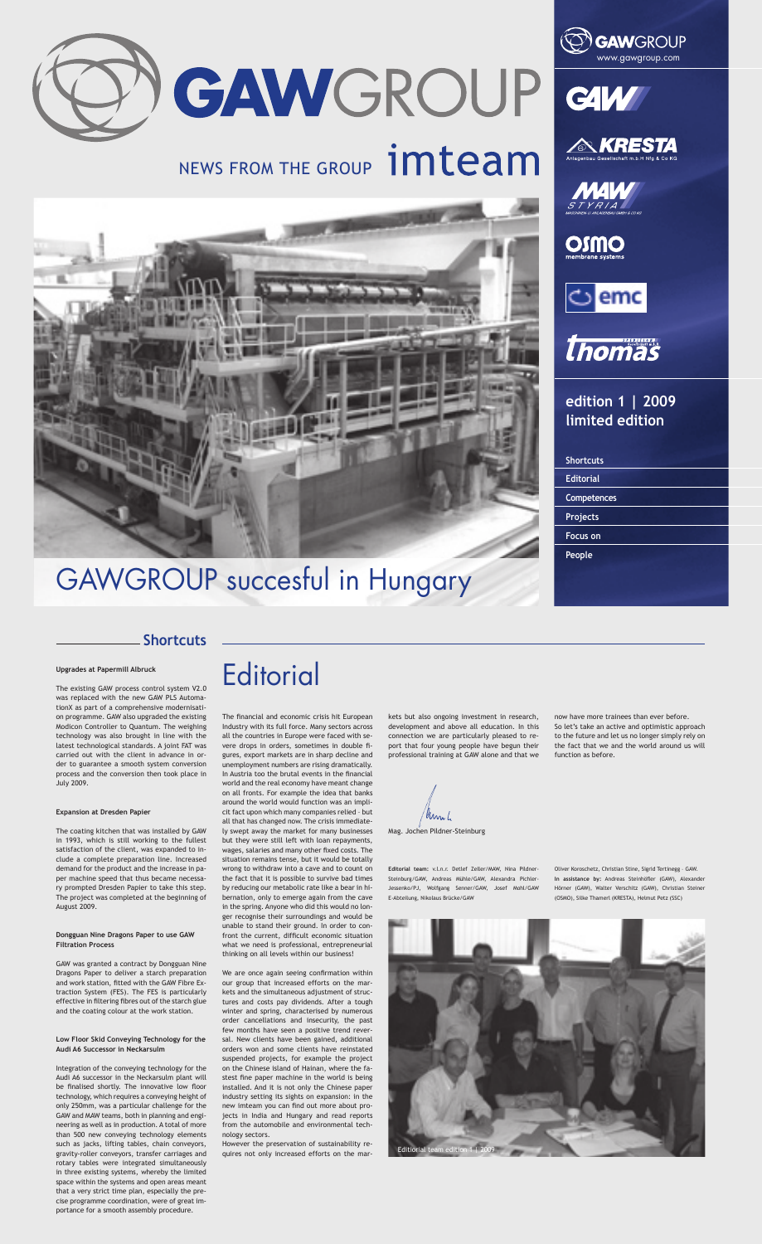

# NEWS FROM THE GROUP **imteam**



## GAWGROUP succesful in Hungary









**OSSION**<br>membrane systems





**edition 1 | 2009 limited edition**

| <b>Shortcuts</b>   |  |
|--------------------|--|
| <b>Editorial</b>   |  |
| <b>Competences</b> |  |
| Projects           |  |
| <b>Focus on</b>    |  |
| <b>People</b>      |  |
|                    |  |

### **Shortcuts**





The financial and economic crisis hit European Industry with its full force. Many sectors across all the countries in Europe were faced with severe drops in orders, sometimes in double figures, export markets are in sharp decline and unemployment numbers are rising dramatically. In Austria too the brutal events in the financial world and the real economy have meant change on all fronts. For example the idea that banks around the world would function was an implicit fact upon which many companies relied – but all that has changed now. The crisis immediately swept away the market for many businesses but they were still left with loan repayments, wages, salaries and many other fixed costs. The situation remains tense, but it would be totally wrong to withdraw into a cave and to count on the fact that it is possible to survive bad times by reducing our metabolic rate like a bear in hibernation, only to emerge again from the cave in the spring. Anyone who did this would no longer recognise their surroundings and would be unable to stand their ground. In order to confront the current, difficult economic situation what we need is professional, entrepreneurial thinking on all levels within our business!

We are once again seeing confirmation within our group that increased efforts on the markets and the simultaneous adjustment of structures and costs pay dividends. After a tough winter and spring, characterised by numerous order cancellations and insecurity, the past few months have seen a positive trend reversal. New clients have been gained, additional orders won and some clients have reinstated suspended projects, for example the project on the Chinese island of Hainan, where the fastest fine paper machine in the world is being installed. And it is not only the Chinese paper industry setting its sights on expansion: in the new imteam you can find out more about projects in India and Hungary and read reports from the automobile and environmental technology sectors.

However the preservation of sustainability requires not only increased efforts on the markets but also ongoing investment in research, development and above all education. In this connection we are particularly pleased to report that four young people have begun their professional training at GAW alone and that we

now have more trainees than ever before. So let's take an active and optimistic approach to the future and let us no longer simply rely on the fact that we and the world around us will function as before.

**Upgrades at Papermill Albruck**

The existing GAW process control system V2.0 was replaced with the new GAW PLS AutomationX as part of a comprehensive modernisati-

on programme. GAW also upgraded the existing Modicon Controller to Quantum. The weighing technology was also brought in line with the latest technological standards. A joint FAT was carried out with the client in advance in order to guarantee a smooth system conversion process and the conversion then took place in July 2009.

#### **Expansion at Dresden Papier**

The coating kitchen that was installed by GAW in 1993, which is still working to the fullest satisfaction of the client, was expanded to include a complete preparation line. Increased demand for the product and the increase in paper machine speed that thus became necessary prompted Dresden Papier to take this step. The project was completed at the beginning of August 2009.

#### **Dongguan Nine Dragons Paper to use GAW Filtration Process**

GAW was granted a contract by Dongguan Nine Dragons Paper to deliver a starch preparation and work station, fitted with the GAW Fibre Extraction System (FES). The FES is particularly effective in filtering fibres out of the starch glue and the coating colour at the work station.

#### **Low Floor Skid Conveying Technology for the Audi A6 Successor in Neckarsulm**

Integration of the conveying technology for the Audi A6 successor in the Neckarsulm plant will be finalised shortly. The innovative low floor technology, which requires a conveying height of only 250mm, was a particular challenge for the GAW and MAW teams, both in planning and engineering as well as in production. A total of more than 500 new conveying technology elements such as jacks, lifting tables, chain conveyors, gravity-roller conveyors, transfer carriages and rotary tables were integrated simultaneously in three existing systems, whereby the limited space within the systems and open areas meant that a very strict time plan, especially the precise programme coordination, were of great importance for a smooth assembly procedure.

**Editorial team:** v.l.n.r. Detlef Zeller/MAW, Nina Pildner-Steinburg/GAW, Andreas Mühle/GAW, Alexandra Pichler-Jessenko/PJ, Wolfgang Senner/GAW, Josef Mohl/GAW E-Abteilung, Nikolaus Brücke/GAW

Oliver Koroschetz, Christian Stine, Sigrid Tertinegg – GAW. In assistance by: Andreas Steinhöfler (GAW), Alexander Hörner (GAW), Walter Verschitz (GAW), Christian Steiner (OSMO), Silke Thamerl (KRESTA), Helmut Petz (SSC)

Mag. Jochen Pildner-Steinburg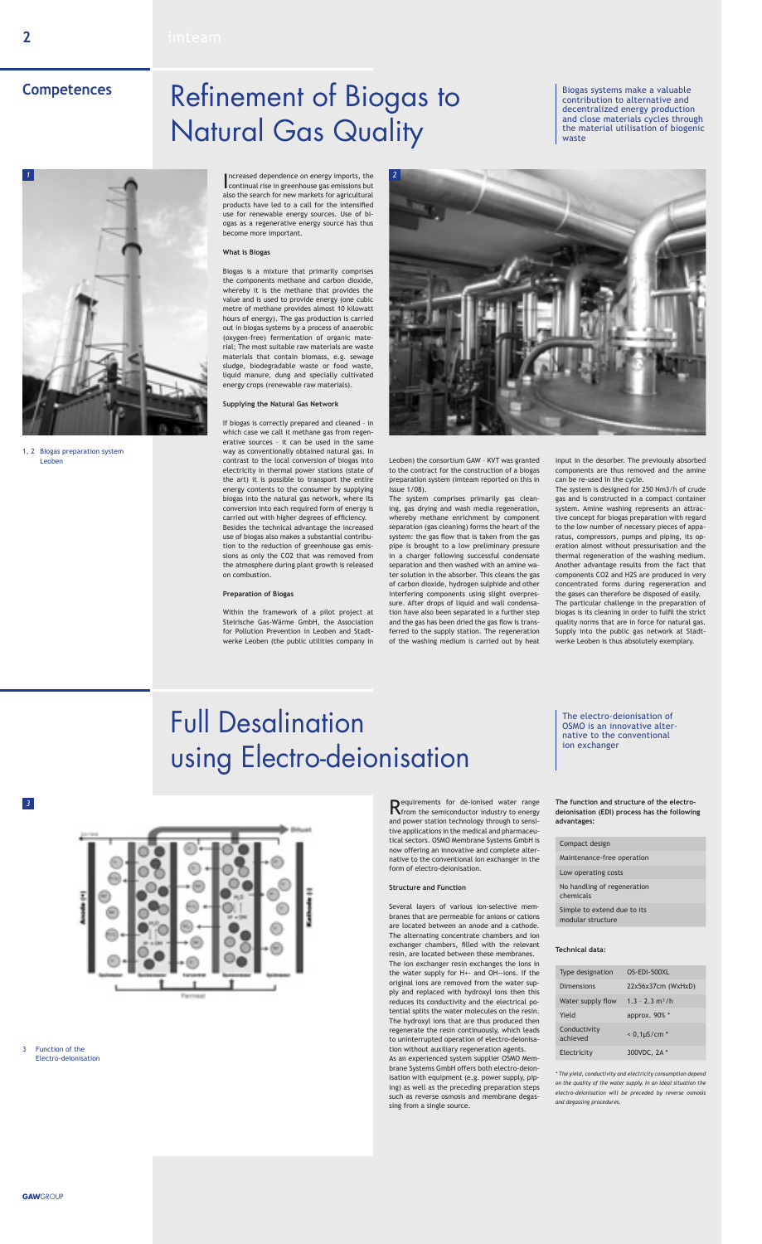**gaw**group

### **2**

Increased dependence on energy imports, the continual rise in greenhouse gas emissions but ncreased dependence on energy imports, the also the search for new markets for agricultural products have led to a call for the intensified use for renewable energy sources. Use of biogas as a regenerative energy source has thus become more important.

### **What is Biogas**

Biogas is a mixture that primarily comprises the components methane and carbon dioxide, whereby it is the methane that provides the value and is used to provide energy (one cubic metre of methane provides almost 10 kilowatt hours of energy). The gas production is carried out in biogas systems by a process of anaerobic (oxygen-free) fermentation of organic material; The most suitable raw materials are waste materials that contain biomass, e.g. sewage sludge, biodegradable waste or food waste, liquid manure, dung and specially cultivated energy crops (renewable raw materials).

#### **Supplying the Natural Gas Network**

If biogas is correctly prepared and cleaned – in which case we call it methane gas from regenerative sources – it can be used in the same way as conventionally obtained natural gas. In contrast to the local conversion of biogas into electricity in thermal power stations (state of the art) it is possible to transport the entire energy contents to the consumer by supplying biogas into the natural gas network, where its conversion into each required form of energy is carried out with higher degrees of efficiency. Besides the technical advantage the increased use of biogas also makes a substantial contribution to the reduction of greenhouse gas emissions as only the CO2 that was removed from the atmosphere during plant growth is released on combustion.

#### **Preparation of Biogas**

Within the framework of a pilot project at Steirische Gas-Wärme GmbH, the Association for Pollution Prevention in Leoben and Stadtwerke Leoben (the public utilities company in

Leoben) the consortium GAW – KVT was granted to the contract for the construction of a biogas preparation system (imteam reported on this in Issue 1/08).

The system comprises primarily gas cleaning, gas drying and wash media regeneration, whereby methane enrichment by component separation (gas cleaning) forms the heart of the system: the gas flow that is taken from the gas pipe is brought to a low preliminary pressure in a charger following successful condensate separation and then washed with an amine water solution in the absorber. This cleans the gas of carbon dioxide, hydrogen sulphide and other interfering components using slight overpressure. After drops of liquid and wall condensation have also been separated in a further step and the gas has been dried the gas flow is transferred to the supply station. The regeneration of the washing medium is carried out by heat

input in the desorber. The previously absorbed components are thus removed and the amine can be re-used in the cycle.

The system is designed for 250 Nm3/h of crude gas and is constructed in a compact container system. Amine washing represents an attractive concept for biogas preparation with regard to the low number of necessary pieces of apparatus, compressors, pumps and piping, its operation almost without pressurisation and the thermal regeneration of the washing medium. Another advantage results from the fact that components CO2 and H2S are produced in very concentrated forms during regeneration and the gases can therefore be disposed of easily. The particular challenge in the preparation of biogas is its cleaning in order to fulfil the strict quality norms that are in force for natural gas. Supply into the public gas network at Stadtwerke Leoben is thus absolutely exemplary.

# Refinement of Biogas to Natural Gas Quality

## Full Desalination using Electro-deionisation

### **Competences**

### 3 Function of the Electro-deionisation

Requirements for de-ionised water range from the semiconductor industry to energy and power station technology through to sensitive applications in the medical and pharmaceutical sectors. OSMO Membrane Systems GmbH is now offering an innovative and complete alternative to the conventional ion exchanger in the form of electro-deionisation.

### **Structure and Function**

Several layers of various ion-selective membranes that are permeable for anions or cations are located between an anode and a cathode. The alternating concentrate chambers and ion exchanger chambers, filled with the relevant resin, are located between these membranes. The ion exchanger resin exchanges the ions in the water supply for H+- and OH--ions. If the original ions are removed from the water supply and replaced with hydroxyl ions then this reduces its conductivity and the electrical potential splits the water molecules on the resin. The hydroxyl ions that are thus produced then regenerate the resin continuously, which leads to uninterrupted operation of electro-deionisation without auxiliary regeneration agents. As an experienced system supplier OSMO Membrane Systems GmbH offers both electro-deionisation with equipment (e.g. power supply, piping) as well as the preceding preparation steps such as reverse osmosis and membrane degassing from a single source.



1, 2 Biogas preparation system Leoben

Biogas systems make a valuable contribution to alternative and decentralized energy production and close materials cycles through the material utilisation of biogenic waste

The electro-deionisation of OSMO is an innovative alternative to the conventional ion exchanger



**The function and structure of the electrodeionisation (EDI) process has the following advantages:** 

#### Compact design

Maintenance-free operation

Low operating costs

No handling of regeneration chemicals

Simple to extend due to its modular structure

#### **Technical data:**

| Type designation         | $OS-EDI-500XL$                |
|--------------------------|-------------------------------|
| Dimensions               | 22x56x37cm (WxHxD)            |
| Water supply flow        | $1.3 - 2.3$ m <sup>3</sup> /h |
| Yield                    | approx. 90% *                 |
| Conductivity<br>achieved | $< 0.1 \mu$ S/cm *            |
| Electricity              | 300VDC, 2A *                  |

*\* The yield, conductivity and electricity consumption depend on the quality of the water supply. In an ideal situation the electro-deionisation will be preceded by reverse osmosis and degassing procedures.* 

*3*

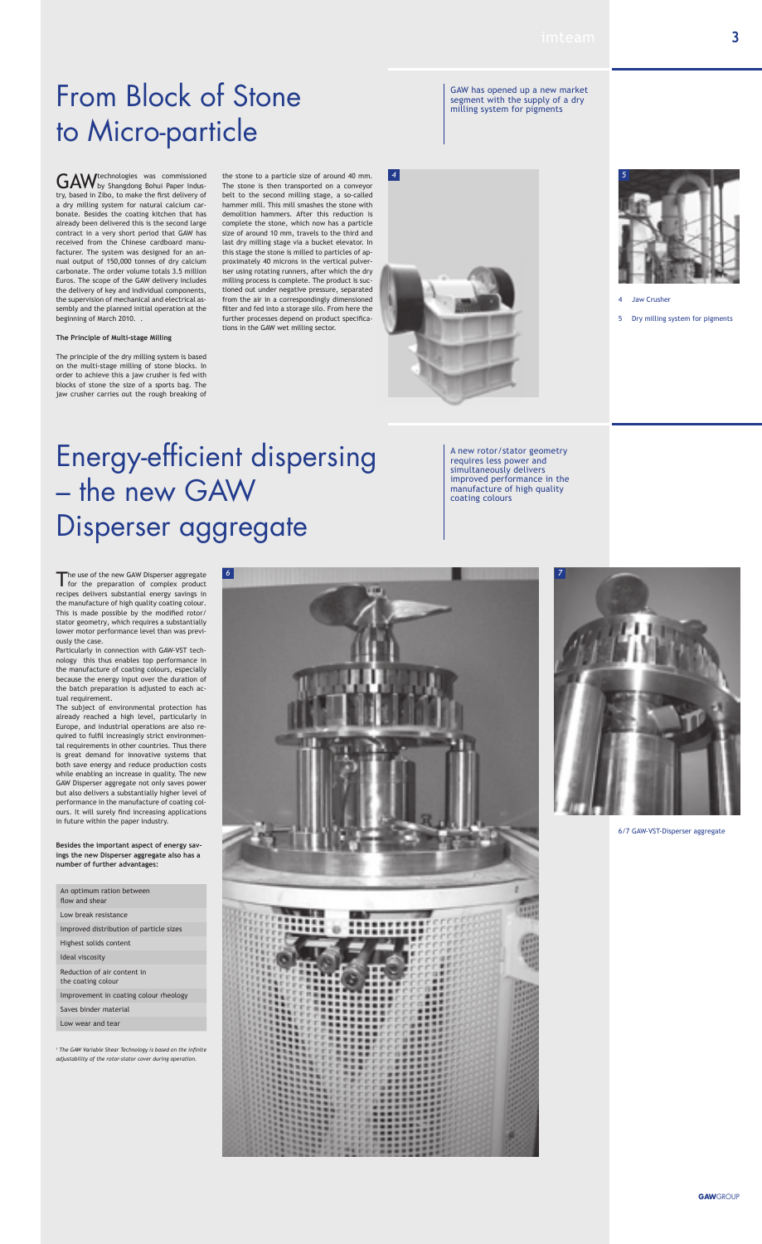GAW technologies was commissioned<br>GAW by Shangdong Bohui Paper Industry, based in Zibo, to make the first delivery of a dry milling system for natural calcium carbonate. Besides the coating kitchen that has already been delivered this is the second large contract in a very short period that GAW has received from the Chinese cardboard manufacturer. The system was designed for an annual output of 150,000 tonnes of dry calcium carbonate. The order volume totals 3.5 million Euros. The scope of the GAW delivery includes the delivery of key and individual components, the supervision of mechanical and electrical assembly and the planned initial operation at the beginning of March 2010. .

**The Principle of Multi-stage Milling**

The principle of the dry milling system is based on the multi-stage milling of stone blocks. In order to achieve this a jaw crusher is fed with blocks of stone the size of a sports bag. The jaw crusher carries out the rough breaking of

the stone to a particle size of around 40 mm. The stone is then transported on a conveyor belt to the second milling stage, a so-called hammer mill. This mill smashes the stone with demolition hammers. After this reduction is complete the stone, which now has a particle size of around 10 mm, travels to the third and last dry milling stage via a bucket elevator. In this stage the stone is milled to particles of approximately 40 microns in the vertical pulveriser using rotating runners, after which the dry milling process is complete. The product is suctioned out under negative pressure, separated from the air in a correspondingly dimensioned filter and fed into a storage silo. From here the further processes depend on product specifications in the GAW wet milling sector.



# Energy-efficient dispersing – the new gAW Disperser aggregate

An optimum ration between flow and shear

# From Block of Stone to Micro-particle

GAW has opened up a new market segment with the supply of a dry milling system for pigments

*4*



<sup>1</sup> The GAW Variable Shear Technology is based on the infinite *adjustability of the rotor-stator cover during operation.* 

- **Jaw Crusher**
- 5 Dry milling system for pigments



Particularly in connection with GAW-VST technology this thus enables top performance in the manufacture of coating colours, especially because the energy input over the duration of the batch preparation is adjusted to each actual requirement.

The subject of environmental protection has

already reached a high level, particularly in Europe, and industrial operations are also required to fulfil increasingly strict environmental requirements in other countries. Thus there is great demand for innovative systems that both save energy and reduce production costs while enabling an increase in quality. The new GAW Disperser aggregate not only saves power but also delivers a substantially higher level of performance in the manufacture of coating colours. It will surely find increasing applications in future within the paper industry.

A new rotor/stator geometry requires less power and simultaneously delivers improved performance in the manufacture of high quality coating colours

6/7 GAW-VST-Disperser aggregate

**Besides the important aspect of energy savings the new Disperser aggregate also has a number of further advantages:**

Low break resistance

Improved distribution of particle sizes

Highest solids content

Ideal viscosity

Reduction of air content in the coating colour

Improvement in coating colour rheology

Saves binder material

Low wear and tear



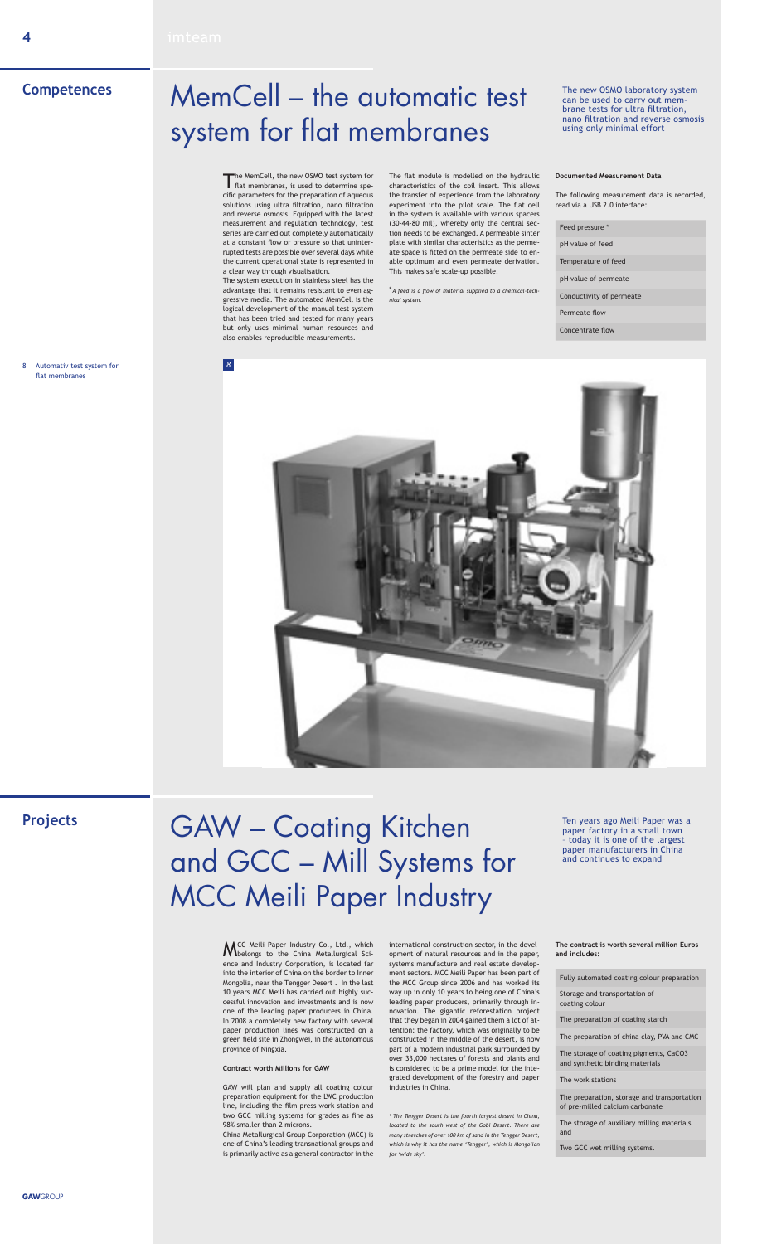The MemCell, the new OSMO test system for<br>flat membranes, is used to determine specific parameters for the preparation of aqueous solutions using ultra filtration, nano filtration and reverse osmosis. Equipped with the latest measurement and regulation technology, test series are carried out completely automatically at a constant flow or pressure so that uninterrupted tests are possible over several days while the current operational state is represented in a clear way through visualisation.

The system execution in stainless steel has the advantage that it remains resistant to even aggressive media. The automated MemCell is the logical development of the manual test system that has been tried and tested for many years but only uses minimal human resources and also enables reproducible measurements.

The flat module is modelled on the hydraulic characteristics of the coil insert. This allows the transfer of experience from the laboratory experiment into the pilot scale. The flat cell in the system is available with various spacers (30-44-80 mil), whereby only the central section needs to be exchanged. A permeable sinter plate with similar characteristics as the permeate space is fitted on the permeate side to enable optimum and even permeate derivation. This makes safe scale-up possible.

\**A feed is a flow of material supplied to a chemical-technical system.* 

MCC Meili Paper Industry Co., Ltd., which belongs to the China Metallurgical Science and Industry Corporation, is located far into the interior of China on the border to Inner Mongolia, near the Tengger Desert . In the last 10 years MCC Meili has carried out highly successful innovation and investments and is now one of the leading paper producers in China. In 2008 a completely new factory with several paper production lines was constructed on a green field site in Zhongwei, in the autonomous province of Ningxia.

#### **Contract worth Millions for GAW**

GAW will plan and supply all coating colour preparation equipment for the LWC production line, including the film press work station and two GCC milling systems for grades as fine as 98% smaller than 2 microns.

China Metallurgical Group Corporation (MCC) is one of China's leading transnational groups and is primarily active as a general contractor in the

international construction sector, in the development of natural resources and in the paper, systems manufacture and real estate development sectors. MCC Meili Paper has been part of the MCC Group since 2006 and has worked its way up in only 10 years to being one of China's leading paper producers, primarily through innovation. The gigantic reforestation project that they began in 2004 gained them a lot of attention: the factory, which was originally to be constructed in the middle of the desert, is now part of a modern industrial park surrounded by over 33,000 hectares of forests and plants and is considered to be a prime model for the integrated development of the forestry and paper industries in China.

*1 The Tengger Desert is the fourth largest desert in China, located to the south west of the Gobi Desert. There are many stretches of over 100 km of sand in the Tengger Desert, which is why it has the name 'Tengger', which is Mongolian for 'wide sky'.* 

### **Competences**

### **Projects**

**The contract is worth several million Euros and includes:** 

Fully automated coating colour preparation

Storage and transportation of coating colour

The preparation of coating starch

The preparation of china clay, PVA and CMC

The storage of coating pigments, CaCO3 and synthetic binding materials

The work stations

The preparation, storage and transportation of pre-milled calcium carbonate

The storage of auxiliary milling materials and

Two GCC wet milling systems.

8 Automativ test system for flat membranes

#### **Documented Measurement Data**

The following measurement data is recorded, read via a USB 2.0 interface:

Feed pressure \*

pH value of feed

Temperature of feed

pH value of permeate

Conductivity of permeate

Permeate flow

Concentrate flow



## MemCell – the automatic test system for flat membranes

# GAW – Coating Kitchen and GCC – Mill Systems for MCC Meili Paper Industry

The new OSMO laboratory system can be used to carry out membrane tests for ultra filtration, nano filtration and reverse osmosis using only minimal effort

Ten years ago Meili Paper was a paper factory in a small town – today it is one of the largest paper manufacturers in China and continues to expand

*8*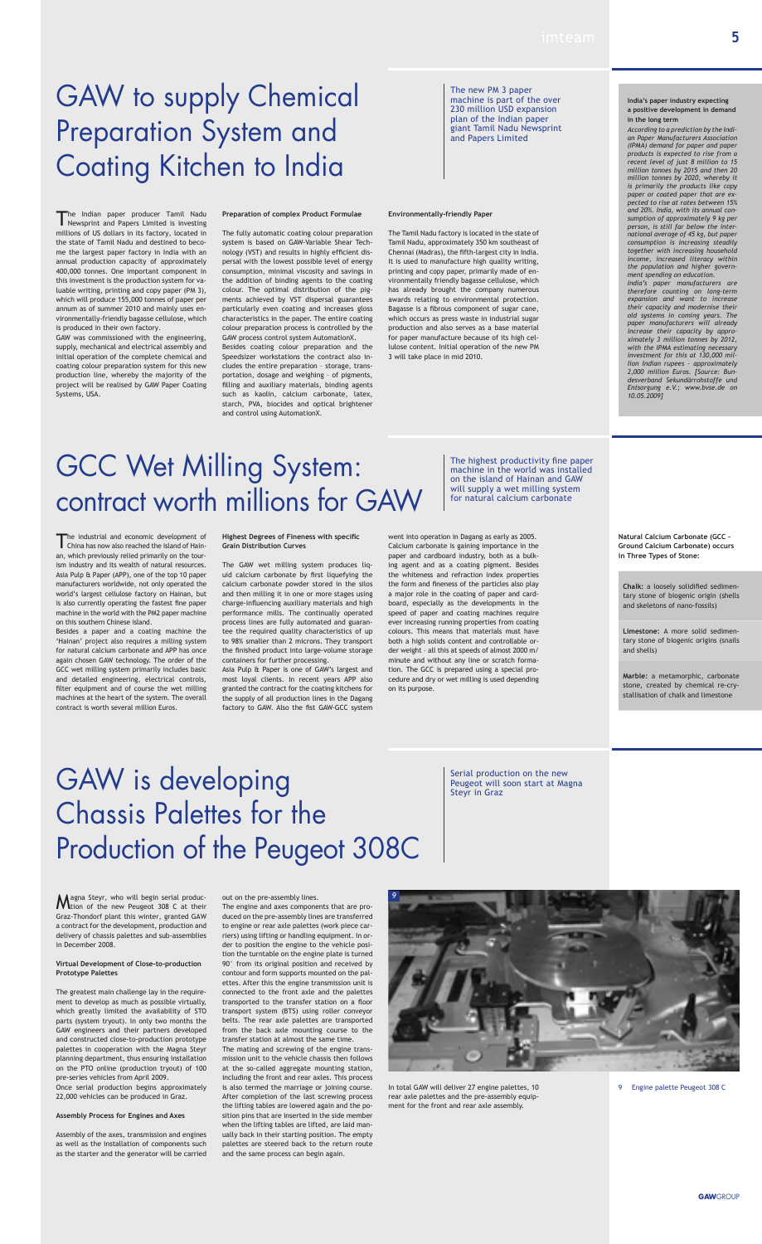Magna Steyr, who will begin serial produc-<br>Mition of the new Peugeot 308 C at their Graz-Thondorf plant this winter, granted GAW a contract for the development, production and delivery of chassis palettes and sub-assemblies in December 2008.

### **Virtual Development of Close-to-production Prototype Palettes**

The greatest main challenge lay in the requirement to develop as much as possible virtually, which greatly limited the availability of STO parts (system tryout). In only two months the GAW engineers and their partners developed and constructed close-to-production prototype palettes in cooperation with the Magna Steyr planning department, thus ensuring installation on the PTO online (production tryout) of 100 pre-series vehicles from April 2009.

Once serial production begins approximately 22,000 vehicles can be produced in Graz.

#### **Assembly Process for Engines and Axes**

Assembly of the axes, transmission and engines as well as the installation of components such as the starter and the generator will be carried out on the pre-assembly lines.

The engine and axes components that are produced on the pre-assembly lines are transferred to engine or rear axle palettes (work piece carriers) using lifting or handling equipment. In order to position the engine to the vehicle position the turntable on the engine plate is turned 90° from its original position and received by contour and form supports mounted on the palettes. After this the engine transmission unit is connected to the front axle and the palettes transported to the transfer station on a floor transport system (BTS) using roller conveyor belts. The rear axle palettes are transported from the back axle mounting course to the transfer station at almost the same time.

The Indian paper producer Tamil Nadu<br>Newsprint and Papers Limited is investing millions of US dollars in its factory, located in the state of Tamil Nadu and destined to become the largest paper factory in India with an annual production capacity of approximately 400,000 tonnes. One important component in this investment is the production system for valuable writing, printing and copy paper (PM 3), which will produce 155,000 tonnes of paper per annum as of summer 2010 and mainly uses environmentally-friendly bagasse cellulose, which

> The mating and screwing of the engine transmission unit to the vehicle chassis then follows at the so-called aggregate mounting station, including the front and rear axles. This process is also termed the marriage or joining course. After completion of the last screwing process the lifting tables are lowered again and the position pins that are inserted in the side member when the lifting tables are lifted, are laid manually back in their starting position. The empty palettes are steered back to the return route and the same process can begin again.

In total GAW will deliver 27 engine palettes, 10 rear axle palettes and the pre-assembly equipment for the front and rear axle assembly.

# GAW to supply Chemical Preparation System and Coating Kitchen to India

# GAW is developing Chassis Palettes for the Production of the Peugeot 308C

is produced in their own factory.

GAW was commissioned with the engineering, supply, mechanical and electrical assembly and initial operation of the complete chemical and coating colour preparation system for this new production line, whereby the majority of the project will be realised by GAW Paper Coating

Systems, USA.

**Preparation of complex Product Formulae** 

The industrial and economic development of<br>China has now also reached the island of Hainan, which previously relied primarily on the tourism industry and its wealth of natural resources. Asia Pulp & Paper (APP), one of the top 10 paper manufacturers worldwide, not only operated the world's largest cellulose factory on Hainan, but is also currently operating the fastest fine paper machine in the world with the PM2 paper machine on this southern Chinese island.

The fully automatic coating colour preparation system is based on GAW-Variable Shear Technology (VST) and results in highly efficient dispersal with the lowest possible level of energy consumption, minimal viscosity and savings in the addition of binding agents to the coating colour. The optimal distribution of the pigments achieved by VST dispersal guarantees particularly even coating and increases gloss characteristics in the paper. The entire coating colour preparation process is controlled by the GAW process control system AutomationX. Besides coating colour preparation and the Speedsizer workstations the contract also includes the entire preparation – storage, transportation, dosage and weighing – of pigments, filling and auxiliary materials, binding agents such as kaolin, calcium carbonate, latex, starch, PVA, biocides and optical brightener

and control using AutomationX.

### **Environmentally-friendly Paper**

The Tamil Nadu factory is located in the state of Tamil Nadu, approximately 350 km southeast of Chennai (Madras), the fifth-largest city in India. It is used to manufacture high quality writing, printing and copy paper, primarily made of environmentally friendly bagasse cellulose, which has already brought the company numerous awards relating to environmental protection. Bagasse is a fibrous component of sugar cane, which occurs as press waste in industrial sugar production and also serves as a base material for paper manufacture because of its high cellulose content. Initial operation of the new PM 3 will take place in mid 2010.

The new PM 3 paper machine is part of the over 230 million USD expansion plan of the Indian paper giant Tamil Nadu Newsprint and Papers Limited

Serial production on the new Peugeot will soon start at Magna Steyr in Graz

9 Engine palette Peugeot 308 C

### **India's paper industry expecting a positive development in demand in the long term**

*According to a prediction by the Indian Paper Manufacturers Association (IPMA) demand for paper and paper products is expected to rise from a recent level of just 8 million to 15 million tonnes by 2015 and then 20 million tonnes by 2020, whereby it is primarily the products like copy paper or coated paper that are expected to rise at rates between 15% and 20%. India, with its annual consumption of approximately 9 kg per person, is still far below the international average of 45 kg, but paper consumption is increasing steadily together with increasing household income, increased literacy within the population and higher government spending on education.*

*India's paper manufacturers are therefore counting on long-term expansion and want to increase their capacity and modernise their old systems in coming years. The paper manufacturers will already increase their capacity by approximately 3 million tonnes by 2012, with the IPMA estimating necessary investment for this at 130,000 million Indian rupees – approximately 2,000 million Euros. [Source: Bundesverband Sekundärrohstoffe und Entsorgung e.V.; www.bvse.de on 10.05.2009]*



Besides a paper and a coating machine the 'Hainan' project also requires a milling system for natural calcium carbonate and APP has once again chosen GAW technology. The order of the GCC wet milling system primarily includes basic and detailed engineering, electrical controls, filter equipment and of course the wet milling machines at the heart of the system. The overall contract is worth several million Euros.

#### **Highest Degrees of Fineness with specific Grain Distribution Curves**

The GAW wet milling system produces liquid calcium carbonate by first liquefying the calcium carbonate powder stored in the silos and then milling it in one or more stages using charge-influencing auxiliary materials and high performance mills. The continually operated process lines are fully automated and guarantee the required quality characteristics of up to 98% smaller than 2 microns. They transport the finished product into large-volume storage containers for further processing.

Asia Pulp & Paper is one of GAW's largest and most loyal clients. In recent years APP also granted the contract for the coating kitchens for the supply of all production lines in the Dagang factory to GAW. Also the fist GAW-GCC system

went into operation in Dagang as early as 2005. Calcium carbonate is gaining importance in the paper and cardboard industry, both as a bulking agent and as a coating pigment. Besides the whiteness and refraction index properties the form and fineness of the particles also play a major role in the coating of paper and cardboard, especially as the developments in the speed of paper and coating machines require ever increasing running properties from coating colours. This means that materials must have both a high solids content and controllable order weight – all this at speeds of almost 2000 m/ minute and without any line or scratch formation. The GCC is prepared using a special procedure and dry or wet milling is used depending on its purpose.

# GCC Wet Milling System: contract worth millions for GAW

The highest productivity fine paper machine in the world was installed on the island of Hainan and GAW will supply a wet milling system for natural calcium carbonate

> **Natural Calcium Carbonate (GCC – Ground Calcium Carbonate) occurs in Three Types of Stone:**

**Chalk:** a loosely solidified sedimentary stone of biogenic origin (shells and skeletons of nano-fossils)

**Limestone:** A more solid sedimentary stone of biogenic origins (snails and shells)

**Marble:** a metamorphic, carbonate stone, created by chemical re-crystallisation of chalk and limestone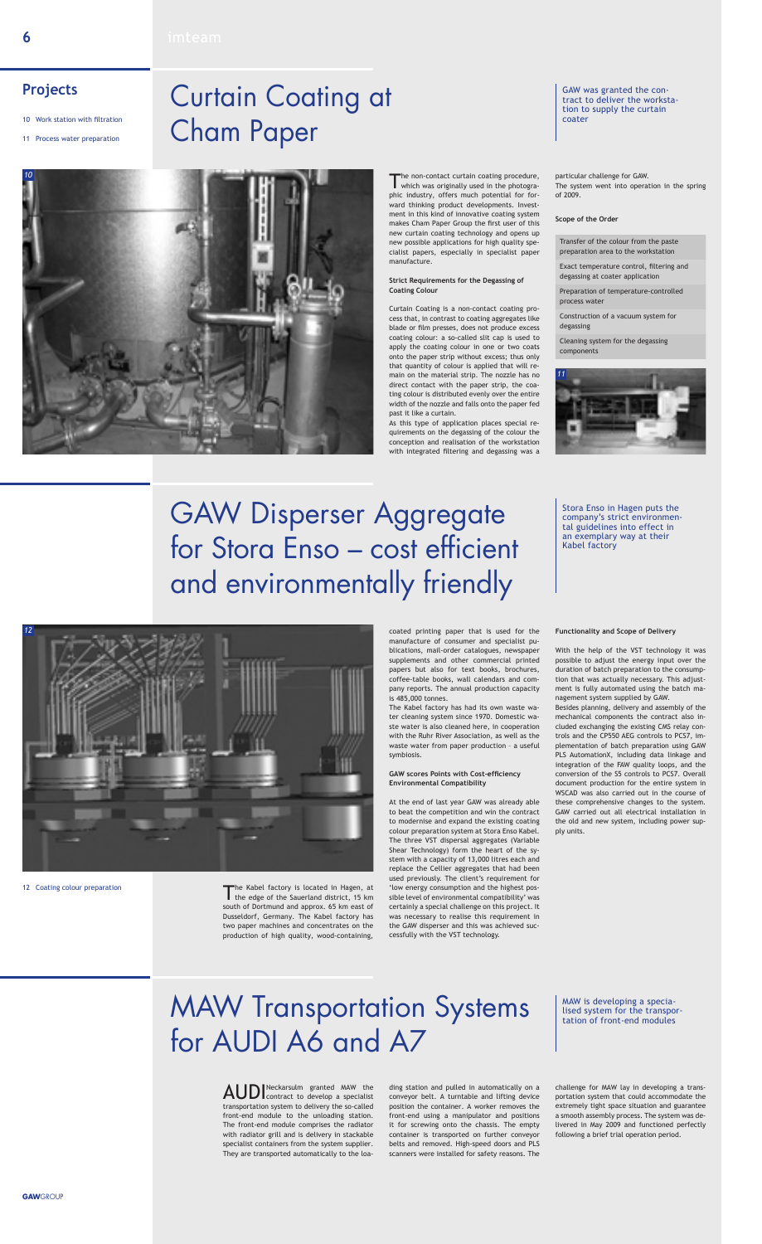

### **Projects**

The Kabel factory is located in Hagen, at the edge of the Sauerland district, 15 km south of Dortmund and approx. 65 km east of Dusseldorf, Germany. The Kabel factory has two paper machines and concentrates on the production of high quality, wood-containing,

coated printing paper that is used for the manufacture of consumer and specialist publications, mail-order catalogues, newspaper supplements and other commercial printed papers but also for text books, brochures, coffee-table books, wall calendars and company reports. The annual production capacity is 485,000 tonnes.

The Kabel factory has had its own waste wa-

ter cleaning system since 1970. Domestic waste water is also cleaned here, in cooperation with the Ruhr River Association, as well as the waste water from paper production – a useful symbiosis.

### **GAW scores Points with Cost-efficiency Environmental Compatibility**

At the end of last year GAW was already able to beat the competition and win the contract to modernise and expand the existing coating colour preparation system at Stora Enso Kabel. The three VST dispersal aggregates (Variable Shear Technology) form the heart of the system with a capacity of 13,000 litres each and replace the Cellier aggregates that had been used previously. The client's requirement for 'low energy consumption and the highest possible level of environmental compatibility' was certainly a special challenge on this project. It was necessary to realise this requirement in the GAW disperser and this was achieved successfully with the VST technology.

AUDI Neckarsulm granted MAW the Contract to develop a specialist transportation system to delivery the so-called front-end module to the unloading station. The front-end module comprises the radiator with radiator grill and is delivery in stackable specialist containers from the system supplier. They are transported automatically to the loa-

### **Functionality and Scope of Delivery**

With the help of the VST technology it was possible to adjust the energy input over the duration of batch preparation to the consumption that was actually necessary. This adjustment is fully automated using the batch management system supplied by GAW. Besides planning, delivery and assembly of the mechanical components the contract also included exchanging the existing CMS relay controls and the CP550 AEG controls to PCS7, implementation of batch preparation using GAW PLS AutomationX, including data linkage and integration of the FAW quality loops, and the conversion of the S5 controls to PCS7. Overall document production for the entire system in WSCAD was also carried out in the course of these comprehensive changes to the system. GAW carried out all electrical installation in the old and new system, including power supply units.

The non-contact curtain coating procedure,<br>which was originally used in the photographic industry, offers much potential for forward thinking product developments. Investment in this kind of innovative coating system makes Cham Paper Group the first user of this new curtain coating technology and opens up new possible applications for high quality specialist papers, especially in specialist paper manufacture.

## GAW Disperser Aggregate for Stora Enso – cost efficient and environmentally friendly

Stora Enso in Hagen puts the company's strict environmental guidelines into effect in an exemplary way at their

Kabel factory

12 Coating colour preparation

ding station and pulled in automatically on a conveyor belt. A turntable and lifting device position the container. A worker removes the front-end using a manipulator and positions it for screwing onto the chassis. The empty container is transported on further conveyor belts and removed. High-speed doors and PLS scanners were installed for safety reasons. The

challenge for MAW lay in developing a transportation system that could accommodate the extremely tight space situation and guarantee a smooth assembly process. The system was delivered in May 2009 and functioned perfectly following a brief trial operation period.

# MAW Transportation Systems for AUDI A6 and A7

MAW is developing a specialised system for the transportation of front-end modules

- 10 Work station with filtration
- 11 Process water preparation

*12*

#### **Strict Requirements for the Degassing of Coating Colour**

Curtain Coating is a non-contact coating process that, in contrast to coating aggregates like blade or film presses, does not produce excess coating colour: a so-called slit cap is used to apply the coating colour in one or two coats onto the paper strip without excess; thus only that quantity of colour is applied that will remain on the material strip. The nozzle has no direct contact with the paper strip, the coating colour is distributed evenly over the entire width of the nozzle and falls onto the paper fed past it like a curtain.

As this type of application places special requirements on the degassing of the colour the conception and realisation of the workstation with integrated filtering and degassing was a

particular challenge for GAW. The system went into operation in the spring of 2009.

# Curtain Coating at Cham Paper

GAW was granted the contract to deliver the workstation to supply the curtain coater

**Scope of the Order**

Transfer of the colour from the paste preparation area to the workstation

Exact temperature control, filtering and degassing at coater application

Preparation of temperature-controlled process water

Construction of a vacuum system for degassing

Cleaning system for the degassing components